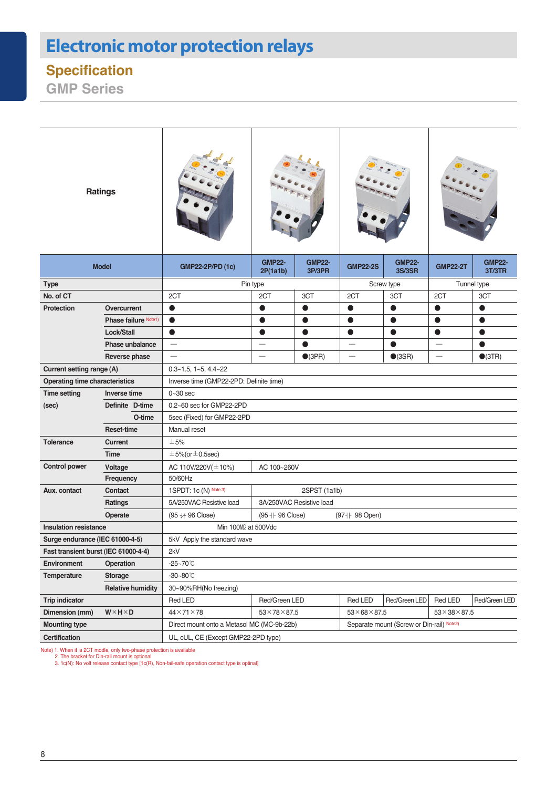# **Electronic motor protection relays**

### **Specification**

**GMP Series**

| <b>Ratings</b>                        |                      |                                                                                         |                                                      |                  |                          |                         |                          |                         |  |  |
|---------------------------------------|----------------------|-----------------------------------------------------------------------------------------|------------------------------------------------------|------------------|--------------------------|-------------------------|--------------------------|-------------------------|--|--|
| <b>Model</b>                          |                      | <b>GMP22-2P/PD (1c)</b>                                                                 | <b>GMP22-</b><br><b>GMP22-</b><br>2P(1a1b)<br>3P/3PR |                  | <b>GMP22-2S</b>          | <b>GMP22-</b><br>3S/3SR | <b>GMP22-2T</b>          | <b>GMP22-</b><br>3T/3TR |  |  |
| <b>Type</b>                           |                      | Pin type                                                                                |                                                      |                  | Screw type               |                         | Tunnel type              |                         |  |  |
| No. of CT                             |                      | 2CT                                                                                     | 2CT                                                  | 3CT              | 2CT                      | 3CT                     | 2CT                      | 3CT                     |  |  |
| <b>Protection</b>                     | Overcurrent          | $\bullet$                                                                               | O                                                    | $\bullet$        | $\bullet$                | $\bullet$               | $\bullet$                | $\bullet$               |  |  |
|                                       | Phase failure Note1) | $\bullet$                                                                               | O                                                    | 0                | ●                        | $\bullet$               | $\bullet$                | 0                       |  |  |
|                                       | Lock/Stall           | $\bullet$                                                                               | $\bullet$                                            | $\bullet$        | $\bullet$                | $\bullet$               | $\bullet$                | $\bullet$               |  |  |
| Phase unbalance                       |                      | $\qquad \qquad$                                                                         | $\overline{\phantom{0}}$                             | $\bullet$        | $\overline{\phantom{0}}$ | ●                       | $\overline{\phantom{0}}$ |                         |  |  |
|                                       | Reverse phase        |                                                                                         |                                                      | $\bigcirc$ (3PR) |                          | $\bullet$ (3SR)         |                          | $\bullet$ (3TR)         |  |  |
| Current setting range (A)             |                      | $0.3 - 1.5$ , $1 - 5$ , $4.4 - 22$                                                      |                                                      |                  |                          |                         |                          |                         |  |  |
| <b>Operating time characteristics</b> |                      | Inverse time (GMP22-2PD: Definite time)                                                 |                                                      |                  |                          |                         |                          |                         |  |  |
| <b>Time setting</b>                   | Inverse time         | $0 - 30$ sec                                                                            |                                                      |                  |                          |                         |                          |                         |  |  |
| (sec)                                 | Definite D-time      | 0.2~60 sec for GMP22-2PD                                                                |                                                      |                  |                          |                         |                          |                         |  |  |
|                                       | O-time               | 5sec (Fixed) for GMP22-2PD                                                              |                                                      |                  |                          |                         |                          |                         |  |  |
|                                       | <b>Reset-time</b>    | Manual reset                                                                            |                                                      |                  |                          |                         |                          |                         |  |  |
| <b>Tolerance</b>                      | <b>Current</b>       | ±5%                                                                                     |                                                      |                  |                          |                         |                          |                         |  |  |
|                                       | <b>Time</b>          | $\pm$ 5%(or $\pm$ 0.5sec)                                                               |                                                      |                  |                          |                         |                          |                         |  |  |
| <b>Control power</b>                  | Voltage              | AC 110V/220V( $\pm$ 10%)                                                                | AC 100~260V                                          |                  |                          |                         |                          |                         |  |  |
| Frequency                             |                      | 50/60Hz                                                                                 |                                                      |                  |                          |                         |                          |                         |  |  |
| Aux. contact                          | Contact              | 1SPDT: 1c (N) Note 3)<br>2SPST (1a1b)                                                   |                                                      |                  |                          |                         |                          |                         |  |  |
| <b>Ratings</b>                        |                      | 5A/250VAC Resistive load<br>3A/250VAC Resistive load                                    |                                                      |                  |                          |                         |                          |                         |  |  |
|                                       | Operate              | (95 # 96 Close)<br>(95 + + 96 Close)<br>$(97 + 98$ Open)                                |                                                      |                  |                          |                         |                          |                         |  |  |
| <b>Insulation resistance</b>          |                      | Min 100MQ at 500Vdc                                                                     |                                                      |                  |                          |                         |                          |                         |  |  |
| Surge endurance (IEC 61000-4-5)       |                      | 5kV Apply the standard wave                                                             |                                                      |                  |                          |                         |                          |                         |  |  |
| Fast transient burst (IEC 61000-4-4)  |                      | 2kV                                                                                     |                                                      |                  |                          |                         |                          |                         |  |  |
| <b>Environment</b>                    | Operation            | $-25 - 70^{\circ}$ C                                                                    |                                                      |                  |                          |                         |                          |                         |  |  |
| Temperature                           | <b>Storage</b>       | -30~80℃                                                                                 |                                                      |                  |                          |                         |                          |                         |  |  |
| <b>Relative humidity</b>              |                      | 30~90%RH(No freezing)                                                                   |                                                      |                  |                          |                         |                          |                         |  |  |
| <b>Trip indicator</b>                 |                      | Red LED                                                                                 | Red/Green LED                                        |                  | Red LED<br>Red/Green LED |                         | Red LED                  | Red/Green LED           |  |  |
| Dimension (mm)                        | $W\times H\times D$  | $44\times71\times78$                                                                    | $53 \times 78 \times 87.5$                           |                  | $53\times68\times87.5$   |                         | $53\times38\times87.5$   |                         |  |  |
| <b>Mounting type</b>                  |                      | Direct mount onto a Metasol MC (MC-9b-22b)<br>Separate mount (Screw or Din-rail) Note2) |                                                      |                  |                          |                         |                          |                         |  |  |
| Certification                         |                      | UL, cUL, CE (Except GMP22-2PD type)                                                     |                                                      |                  |                          |                         |                          |                         |  |  |

Note) 1. When it is 2CT modle, only two-phase protection is available<br>2. The bracket for Din-rail mount is optional<br>3. 1c(N): No volt release contact type [1c(R), Non-fail-safe operation contact type is optinal]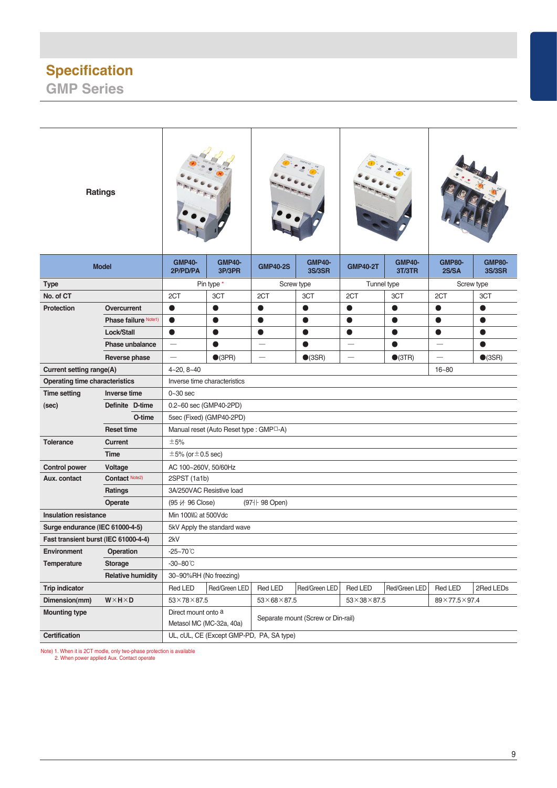#### **Specification GMP Series**

| <b>GMP40-</b><br><b>GMP40-</b><br><b>GMP40-</b><br><b>GMP40-</b><br><b>GMP80-</b><br><b>GMP80-</b><br><b>GMP40-2S</b><br><b>GMP40-2T</b><br><b>Model</b><br>2P/PD/PA<br>3P/3PR<br>3S/3SR<br>3T/3TR<br>2S/SA<br>3S/3SR<br>Pin type *<br>Screw type<br>Tunnel type<br>Screw type<br>Type<br>2CT<br>2CT<br>No. of CT<br>3CT<br>2CT<br>3CT<br>3CT<br>2CT<br>3CT<br><b>Protection</b><br>Overcurrent<br>$\bullet$<br>$\bullet$<br>$\bullet$<br>$\bullet$<br>$\bullet$<br>$\bullet$<br>$\bullet$<br>0<br>Phase failure Note1)<br>$\bullet$<br>$\bullet$<br>$\bullet$<br>$\bullet$<br>$\bullet$<br>0<br>$\bullet$<br>$\bullet$<br>Lock/Stall<br>$\bullet$<br>$\bullet$<br>$\bullet$<br>$\bullet$<br>$\bullet$<br>0<br>0<br>0<br>Phase unbalance<br>●<br>0<br>$\bullet$<br>0<br>$\overline{\phantom{0}}$<br>$\bigcirc$ (3PR)<br>$\bullet$ (3SR)<br>$\bullet$ (3SR)<br>Reverse phase<br>$\overline{\phantom{0}}$<br>$\bullet$ (3TR)<br>Current setting range(A)<br>$4 - 20, 8 - 40$<br>$16 - 80$<br><b>Operating time characteristics</b><br>Inverse time characteristics<br><b>Time setting</b><br><b>Inverse time</b><br>$0-30$ sec<br>Definite D-time<br>0.2~60 sec (GMP40-2PD)<br>(sec)<br>O-time<br>5sec (Fixed) (GMP40-2PD)<br><b>Reset time</b><br>Manual reset (Auto Reset type: GMP <sup>[1-4]</sup><br><b>Tolerance</b><br><b>Current</b><br>±5%<br><b>Time</b><br>$\pm$ 5% (or $\pm$ 0.5 sec)<br>AC 100~260V, 50/60Hz<br><b>Control power</b><br>Voltage<br>Contact Note2)<br>Aux. contact<br>2SPST (1a1b)<br>3A/250VAC Resistive load<br>Ratings<br>(97 <sup>+</sup> 98 Open)<br>$(95 + 96$ Close)<br>Operate<br><b>Insulation resistance</b><br>Min 100MQ at 500Vdc<br>Surge endurance (IEC 61000-4-5)<br>5kV Apply the standard wave<br>2kV<br>Fast transient burst (IEC 61000-4-4)<br>Environment<br>Operation<br>$-25 - 70^{\circ}$ C<br>Temperature<br><b>Storage</b><br>$-30 - 80^{\circ}$ C<br><b>Relative humidity</b><br>30~90%RH (No freezing)<br>Red LED<br>Red/Green LED<br>Red LED<br>Red/Green LED<br>Red LED<br>Red/Green LED<br>Red LED<br>2Red LEDs<br><b>Trip indicator</b><br>$53\times78\times87.5$<br>Dimension(mm)<br>$W \times H \times D$<br>$53\times68\times87.5$<br>$53\times38\times87.5$<br>$89\times77.5\times97.4$<br><b>Mounting type</b><br>Direct mount onto a<br>Separate mount (Screw or Din-rail)<br>Metasol MC (MC-32a, 40a)<br><b>Certification</b><br>UL, cUL, CE (Except GMP-PD, PA, SA type) | <b>Ratings</b> |  |  |  |  |  |  |  |  |  |  |
|-------------------------------------------------------------------------------------------------------------------------------------------------------------------------------------------------------------------------------------------------------------------------------------------------------------------------------------------------------------------------------------------------------------------------------------------------------------------------------------------------------------------------------------------------------------------------------------------------------------------------------------------------------------------------------------------------------------------------------------------------------------------------------------------------------------------------------------------------------------------------------------------------------------------------------------------------------------------------------------------------------------------------------------------------------------------------------------------------------------------------------------------------------------------------------------------------------------------------------------------------------------------------------------------------------------------------------------------------------------------------------------------------------------------------------------------------------------------------------------------------------------------------------------------------------------------------------------------------------------------------------------------------------------------------------------------------------------------------------------------------------------------------------------------------------------------------------------------------------------------------------------------------------------------------------------------------------------------------------------------------------------------------------------------------------------------------------------------------------------------------------------------------------------------------------------------------------------------------------------------------------------------------------------------------------------------------------------------------------------------------------------------------------------------------------------------|----------------|--|--|--|--|--|--|--|--|--|--|
|                                                                                                                                                                                                                                                                                                                                                                                                                                                                                                                                                                                                                                                                                                                                                                                                                                                                                                                                                                                                                                                                                                                                                                                                                                                                                                                                                                                                                                                                                                                                                                                                                                                                                                                                                                                                                                                                                                                                                                                                                                                                                                                                                                                                                                                                                                                                                                                                                                           |                |  |  |  |  |  |  |  |  |  |  |
|                                                                                                                                                                                                                                                                                                                                                                                                                                                                                                                                                                                                                                                                                                                                                                                                                                                                                                                                                                                                                                                                                                                                                                                                                                                                                                                                                                                                                                                                                                                                                                                                                                                                                                                                                                                                                                                                                                                                                                                                                                                                                                                                                                                                                                                                                                                                                                                                                                           |                |  |  |  |  |  |  |  |  |  |  |
|                                                                                                                                                                                                                                                                                                                                                                                                                                                                                                                                                                                                                                                                                                                                                                                                                                                                                                                                                                                                                                                                                                                                                                                                                                                                                                                                                                                                                                                                                                                                                                                                                                                                                                                                                                                                                                                                                                                                                                                                                                                                                                                                                                                                                                                                                                                                                                                                                                           |                |  |  |  |  |  |  |  |  |  |  |
|                                                                                                                                                                                                                                                                                                                                                                                                                                                                                                                                                                                                                                                                                                                                                                                                                                                                                                                                                                                                                                                                                                                                                                                                                                                                                                                                                                                                                                                                                                                                                                                                                                                                                                                                                                                                                                                                                                                                                                                                                                                                                                                                                                                                                                                                                                                                                                                                                                           |                |  |  |  |  |  |  |  |  |  |  |
|                                                                                                                                                                                                                                                                                                                                                                                                                                                                                                                                                                                                                                                                                                                                                                                                                                                                                                                                                                                                                                                                                                                                                                                                                                                                                                                                                                                                                                                                                                                                                                                                                                                                                                                                                                                                                                                                                                                                                                                                                                                                                                                                                                                                                                                                                                                                                                                                                                           |                |  |  |  |  |  |  |  |  |  |  |
|                                                                                                                                                                                                                                                                                                                                                                                                                                                                                                                                                                                                                                                                                                                                                                                                                                                                                                                                                                                                                                                                                                                                                                                                                                                                                                                                                                                                                                                                                                                                                                                                                                                                                                                                                                                                                                                                                                                                                                                                                                                                                                                                                                                                                                                                                                                                                                                                                                           |                |  |  |  |  |  |  |  |  |  |  |
|                                                                                                                                                                                                                                                                                                                                                                                                                                                                                                                                                                                                                                                                                                                                                                                                                                                                                                                                                                                                                                                                                                                                                                                                                                                                                                                                                                                                                                                                                                                                                                                                                                                                                                                                                                                                                                                                                                                                                                                                                                                                                                                                                                                                                                                                                                                                                                                                                                           |                |  |  |  |  |  |  |  |  |  |  |
|                                                                                                                                                                                                                                                                                                                                                                                                                                                                                                                                                                                                                                                                                                                                                                                                                                                                                                                                                                                                                                                                                                                                                                                                                                                                                                                                                                                                                                                                                                                                                                                                                                                                                                                                                                                                                                                                                                                                                                                                                                                                                                                                                                                                                                                                                                                                                                                                                                           |                |  |  |  |  |  |  |  |  |  |  |
|                                                                                                                                                                                                                                                                                                                                                                                                                                                                                                                                                                                                                                                                                                                                                                                                                                                                                                                                                                                                                                                                                                                                                                                                                                                                                                                                                                                                                                                                                                                                                                                                                                                                                                                                                                                                                                                                                                                                                                                                                                                                                                                                                                                                                                                                                                                                                                                                                                           |                |  |  |  |  |  |  |  |  |  |  |
|                                                                                                                                                                                                                                                                                                                                                                                                                                                                                                                                                                                                                                                                                                                                                                                                                                                                                                                                                                                                                                                                                                                                                                                                                                                                                                                                                                                                                                                                                                                                                                                                                                                                                                                                                                                                                                                                                                                                                                                                                                                                                                                                                                                                                                                                                                                                                                                                                                           |                |  |  |  |  |  |  |  |  |  |  |
|                                                                                                                                                                                                                                                                                                                                                                                                                                                                                                                                                                                                                                                                                                                                                                                                                                                                                                                                                                                                                                                                                                                                                                                                                                                                                                                                                                                                                                                                                                                                                                                                                                                                                                                                                                                                                                                                                                                                                                                                                                                                                                                                                                                                                                                                                                                                                                                                                                           |                |  |  |  |  |  |  |  |  |  |  |
|                                                                                                                                                                                                                                                                                                                                                                                                                                                                                                                                                                                                                                                                                                                                                                                                                                                                                                                                                                                                                                                                                                                                                                                                                                                                                                                                                                                                                                                                                                                                                                                                                                                                                                                                                                                                                                                                                                                                                                                                                                                                                                                                                                                                                                                                                                                                                                                                                                           |                |  |  |  |  |  |  |  |  |  |  |
|                                                                                                                                                                                                                                                                                                                                                                                                                                                                                                                                                                                                                                                                                                                                                                                                                                                                                                                                                                                                                                                                                                                                                                                                                                                                                                                                                                                                                                                                                                                                                                                                                                                                                                                                                                                                                                                                                                                                                                                                                                                                                                                                                                                                                                                                                                                                                                                                                                           |                |  |  |  |  |  |  |  |  |  |  |
|                                                                                                                                                                                                                                                                                                                                                                                                                                                                                                                                                                                                                                                                                                                                                                                                                                                                                                                                                                                                                                                                                                                                                                                                                                                                                                                                                                                                                                                                                                                                                                                                                                                                                                                                                                                                                                                                                                                                                                                                                                                                                                                                                                                                                                                                                                                                                                                                                                           |                |  |  |  |  |  |  |  |  |  |  |
|                                                                                                                                                                                                                                                                                                                                                                                                                                                                                                                                                                                                                                                                                                                                                                                                                                                                                                                                                                                                                                                                                                                                                                                                                                                                                                                                                                                                                                                                                                                                                                                                                                                                                                                                                                                                                                                                                                                                                                                                                                                                                                                                                                                                                                                                                                                                                                                                                                           |                |  |  |  |  |  |  |  |  |  |  |
|                                                                                                                                                                                                                                                                                                                                                                                                                                                                                                                                                                                                                                                                                                                                                                                                                                                                                                                                                                                                                                                                                                                                                                                                                                                                                                                                                                                                                                                                                                                                                                                                                                                                                                                                                                                                                                                                                                                                                                                                                                                                                                                                                                                                                                                                                                                                                                                                                                           |                |  |  |  |  |  |  |  |  |  |  |
|                                                                                                                                                                                                                                                                                                                                                                                                                                                                                                                                                                                                                                                                                                                                                                                                                                                                                                                                                                                                                                                                                                                                                                                                                                                                                                                                                                                                                                                                                                                                                                                                                                                                                                                                                                                                                                                                                                                                                                                                                                                                                                                                                                                                                                                                                                                                                                                                                                           |                |  |  |  |  |  |  |  |  |  |  |
|                                                                                                                                                                                                                                                                                                                                                                                                                                                                                                                                                                                                                                                                                                                                                                                                                                                                                                                                                                                                                                                                                                                                                                                                                                                                                                                                                                                                                                                                                                                                                                                                                                                                                                                                                                                                                                                                                                                                                                                                                                                                                                                                                                                                                                                                                                                                                                                                                                           |                |  |  |  |  |  |  |  |  |  |  |
|                                                                                                                                                                                                                                                                                                                                                                                                                                                                                                                                                                                                                                                                                                                                                                                                                                                                                                                                                                                                                                                                                                                                                                                                                                                                                                                                                                                                                                                                                                                                                                                                                                                                                                                                                                                                                                                                                                                                                                                                                                                                                                                                                                                                                                                                                                                                                                                                                                           |                |  |  |  |  |  |  |  |  |  |  |
|                                                                                                                                                                                                                                                                                                                                                                                                                                                                                                                                                                                                                                                                                                                                                                                                                                                                                                                                                                                                                                                                                                                                                                                                                                                                                                                                                                                                                                                                                                                                                                                                                                                                                                                                                                                                                                                                                                                                                                                                                                                                                                                                                                                                                                                                                                                                                                                                                                           |                |  |  |  |  |  |  |  |  |  |  |
|                                                                                                                                                                                                                                                                                                                                                                                                                                                                                                                                                                                                                                                                                                                                                                                                                                                                                                                                                                                                                                                                                                                                                                                                                                                                                                                                                                                                                                                                                                                                                                                                                                                                                                                                                                                                                                                                                                                                                                                                                                                                                                                                                                                                                                                                                                                                                                                                                                           |                |  |  |  |  |  |  |  |  |  |  |
|                                                                                                                                                                                                                                                                                                                                                                                                                                                                                                                                                                                                                                                                                                                                                                                                                                                                                                                                                                                                                                                                                                                                                                                                                                                                                                                                                                                                                                                                                                                                                                                                                                                                                                                                                                                                                                                                                                                                                                                                                                                                                                                                                                                                                                                                                                                                                                                                                                           |                |  |  |  |  |  |  |  |  |  |  |
|                                                                                                                                                                                                                                                                                                                                                                                                                                                                                                                                                                                                                                                                                                                                                                                                                                                                                                                                                                                                                                                                                                                                                                                                                                                                                                                                                                                                                                                                                                                                                                                                                                                                                                                                                                                                                                                                                                                                                                                                                                                                                                                                                                                                                                                                                                                                                                                                                                           |                |  |  |  |  |  |  |  |  |  |  |
|                                                                                                                                                                                                                                                                                                                                                                                                                                                                                                                                                                                                                                                                                                                                                                                                                                                                                                                                                                                                                                                                                                                                                                                                                                                                                                                                                                                                                                                                                                                                                                                                                                                                                                                                                                                                                                                                                                                                                                                                                                                                                                                                                                                                                                                                                                                                                                                                                                           |                |  |  |  |  |  |  |  |  |  |  |
|                                                                                                                                                                                                                                                                                                                                                                                                                                                                                                                                                                                                                                                                                                                                                                                                                                                                                                                                                                                                                                                                                                                                                                                                                                                                                                                                                                                                                                                                                                                                                                                                                                                                                                                                                                                                                                                                                                                                                                                                                                                                                                                                                                                                                                                                                                                                                                                                                                           |                |  |  |  |  |  |  |  |  |  |  |
|                                                                                                                                                                                                                                                                                                                                                                                                                                                                                                                                                                                                                                                                                                                                                                                                                                                                                                                                                                                                                                                                                                                                                                                                                                                                                                                                                                                                                                                                                                                                                                                                                                                                                                                                                                                                                                                                                                                                                                                                                                                                                                                                                                                                                                                                                                                                                                                                                                           |                |  |  |  |  |  |  |  |  |  |  |
|                                                                                                                                                                                                                                                                                                                                                                                                                                                                                                                                                                                                                                                                                                                                                                                                                                                                                                                                                                                                                                                                                                                                                                                                                                                                                                                                                                                                                                                                                                                                                                                                                                                                                                                                                                                                                                                                                                                                                                                                                                                                                                                                                                                                                                                                                                                                                                                                                                           |                |  |  |  |  |  |  |  |  |  |  |
|                                                                                                                                                                                                                                                                                                                                                                                                                                                                                                                                                                                                                                                                                                                                                                                                                                                                                                                                                                                                                                                                                                                                                                                                                                                                                                                                                                                                                                                                                                                                                                                                                                                                                                                                                                                                                                                                                                                                                                                                                                                                                                                                                                                                                                                                                                                                                                                                                                           |                |  |  |  |  |  |  |  |  |  |  |
|                                                                                                                                                                                                                                                                                                                                                                                                                                                                                                                                                                                                                                                                                                                                                                                                                                                                                                                                                                                                                                                                                                                                                                                                                                                                                                                                                                                                                                                                                                                                                                                                                                                                                                                                                                                                                                                                                                                                                                                                                                                                                                                                                                                                                                                                                                                                                                                                                                           |                |  |  |  |  |  |  |  |  |  |  |
|                                                                                                                                                                                                                                                                                                                                                                                                                                                                                                                                                                                                                                                                                                                                                                                                                                                                                                                                                                                                                                                                                                                                                                                                                                                                                                                                                                                                                                                                                                                                                                                                                                                                                                                                                                                                                                                                                                                                                                                                                                                                                                                                                                                                                                                                                                                                                                                                                                           |                |  |  |  |  |  |  |  |  |  |  |

Note) 1. When it is 2CT modle, only two-phase protection is available 2. When power applied Aux. Contact operate